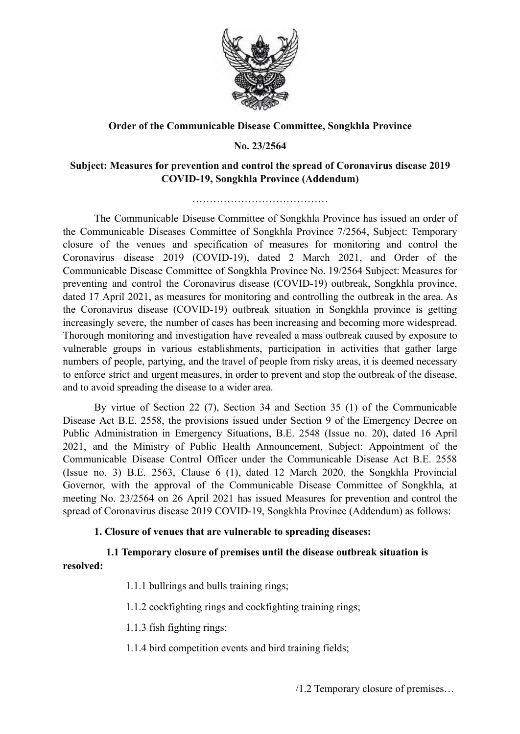

### **Order of the Communicable Disease Committee, Songkhla Province**

### **No. 23/2564**

### **Subject: Measures for prevention and control the spread of Coronavirus disease 2019 COVID-19, Songkhla Province (Addendum)**

…………………………………

The Communicable Disease Committee of Songkhla Province has issued an order of the Communicable Diseases Committee of Songkhla Province 7/2564, Subject: Temporary closure of the venues and specification of measures for monitoring and control the Coronavirus disease 2019 (COVID-19), dated 2 March 2021, and Order of the Communicable Disease Committee of Songkhla Province No. 19/2564 Subject: Measures for preventing and control the Coronavirus disease (COVID-19) outbreak, Songkhla province, dated 17 April 2021, as measures for monitoring and controlling the outbreak in the area. As the Coronavirus disease (COVID-19) outbreak situation in Songkhla province is getting increasingly severe, the number of cases has been increasing and becoming more widespread. Thorough monitoring and investigation have revealed a mass outbreak caused by exposure to vulnerable groups in various establishments, participation in activities that gather large numbers of people, partying, and the travel of people from risky areas, it is deemed necessary to enforce strict and urgent measures, in order to prevent and stop the outbreak of the disease, and to avoid spreading the disease to a wider area.

By virtue of Section 22 (7), Section 34 and Section 35 (1) of the Communicable Disease Act B.E. 2558, the provisions issued under Section 9 of the Emergency Decree on Public Administration in Emergency Situations, B.E. 2548 (Issue no. 20), dated 16 April 2021, and the Ministry of Public Health Announcement, Subject: Appointment of the Communicable Disease Control Officer under the Communicable Disease Act B.E. 2558 (Issue no. 3) B.E. 2563, Clause 6 (1), dated 12 March 2020, the Songkhla Provincial Governor, with the approval of the Communicable Disease Committee of Songkhla, at meeting No. 23/2564 on 26 April 2021 has issued Measures for prevention and control the spread of Coronavirus disease 2019 COVID-19, Songkhla Province (Addendum) as follows:

### **1. Closure of venues that are vulnerable to spreading diseases:**

# **1.1 Temporary closure of premises until the disease outbreak situation is resolved:**

- 1.1.1 bullrings and bulls training rings;
- 1.1.2 cockfighting rings and cockfighting training rings;
- 1.1.3 fish fighting rings;
- 1.1.4 bird competition events and bird training fields;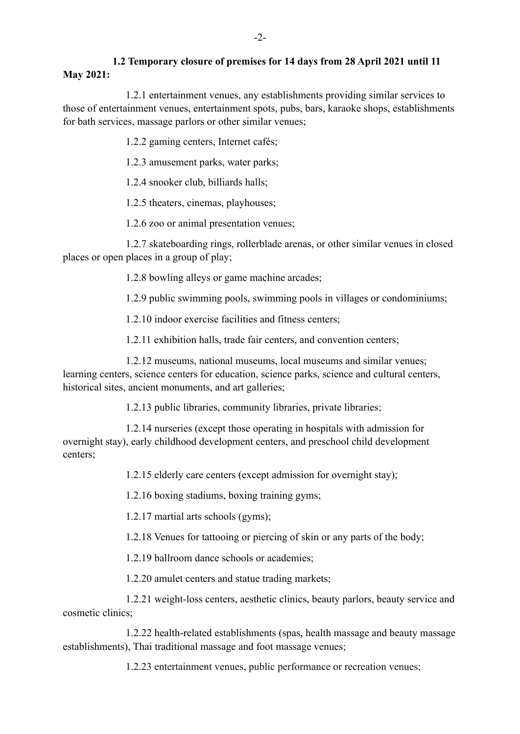## **1.2 Temporary closure of premises for 14 days from 28 April 2021 until 11 May 2021:**

1.2.1 entertainment venues, any establishments providing similar services to those of entertainment venues, entertainment spots, pubs, bars, karaoke shops, establishments for bath services, massage parlors or other similar venues;

1.2.2 gaming centers, Internet cafés;

1.2.3 amusement parks, water parks;

1.2.4 snooker club, billiards halls;

1.2.5 theaters, cinemas, playhouses;

1.2.6 zoo or animal presentation venues;

1.2.7 skateboarding rings, rollerblade arenas, or other similar venues in closed places or open places in a group of play;

1.2.8 bowling alleys or game machine arcades;

1.2.9 public swimming pools, swimming pools in villages or condominiums;

1.2.10 indoor exercise facilities and fitness centers;

1.2.11 exhibition halls, trade fair centers, and convention centers;

1.2.12 museums, national museums, local museums and similar venues; learning centers, science centers for education, science parks, science and cultural centers, historical sites, ancient monuments, and art galleries;

1.2.13 public libraries, community libraries, private libraries;

1.2.14 nurseries (except those operating in hospitals with admission for overnight stay), early childhood development centers, and preschool child development centers;

1.2.15 elderly care centers (except admission for overnight stay);

1.2.16 boxing stadiums, boxing training gyms;

1.2.17 martial arts schools (gyms);

1.2.18 Venues for tattooing or piercing of skin or any parts of the body;

1.2.19 ballroom dance schools or academies;

1.2.20 amulet centers and statue trading markets;

1.2.21 weight-loss centers, aesthetic clinics, beauty parlors, beauty service and cosmetic clinics;

1.2.22 health-related establishments (spas, health massage and beauty massage establishments), Thai traditional massage and foot massage venues;

1.2.23 entertainment venues, public performance or recreation venues;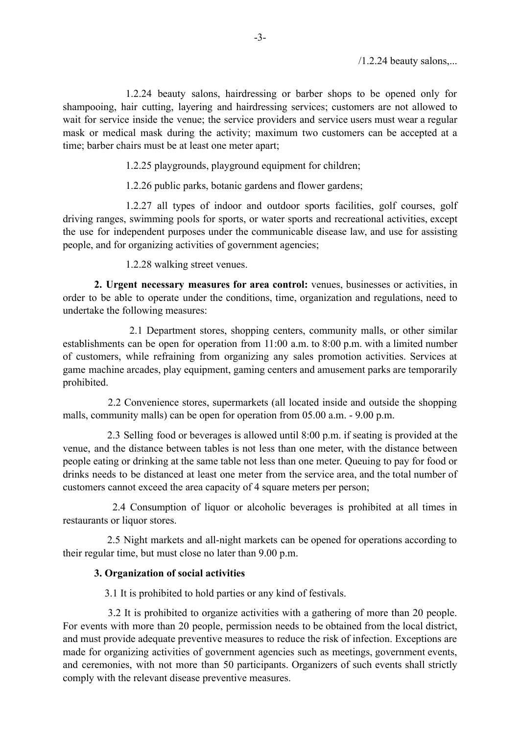1.2.24 beauty salons, hairdressing or barber shops to be opened only for shampooing, hair cutting, layering and hairdressing services; customers are not allowed to wait for service inside the venue; the service providers and service users must wear a regular mask or medical mask during the activity; maximum two customers can be accepted at a time; barber chairs must be at least one meter apart;

1.2.25 playgrounds, playground equipment for children;

1.2.26 public parks, botanic gardens and flower gardens;

1.2.27 all types of indoor and outdoor sports facilities, golf courses, golf driving ranges, swimming pools for sports, or water sports and recreational activities, except the use for independent purposes under the communicable disease law, and use for assisting people, and for organizing activities of government agencies;

1.2.28 walking street venues.

**2. Urgent necessary measures for area control:** venues, businesses or activities, in order to be able to operate under the conditions, time, organization and regulations, need to undertake the following measures:

2.1 Department stores, shopping centers, community malls, or other similar establishments can be open for operation from 11:00 a.m. to 8:00 p.m. with a limited number of customers, while refraining from organizing any sales promotion activities. Services at game machine arcades, play equipment, gaming centers and amusement parks are temporarily prohibited.

2.2 Convenience stores, supermarkets (all located inside and outside the shopping malls, community malls) can be open for operation from 05.00 a.m. - 9.00 p.m.

2.3 Selling food or beverages is allowed until 8:00 p.m. if seating is provided at the venue, and the distance between tables is not less than one meter, with the distance between people eating or drinking at the same table not less than one meter. Queuing to pay for food or drinks needs to be distanced at least one meter from the service area, and the total number of customers cannot exceed the area capacity of 4 square meters per person;

2.4 Consumption of liquor or alcoholic beverages is prohibited at all times in restaurants or liquor stores.

2.5 Night markets and all-night markets can be opened for operations according to their regular time, but must close no later than 9.00 p.m.

#### **3. Organization of social activities**

3.1 It is prohibited to hold parties or any kind of festivals.

3.2 It is prohibited to organize activities with a gathering of more than 20 people. For events with more than 20 people, permission needs to be obtained from the local district, and must provide adequate preventive measures to reduce the risk of infection. Exceptions are made for organizing activities of government agencies such as meetings, government events, and ceremonies, with not more than 50 participants. Organizers of such events shall strictly comply with the relevant disease preventive measures.